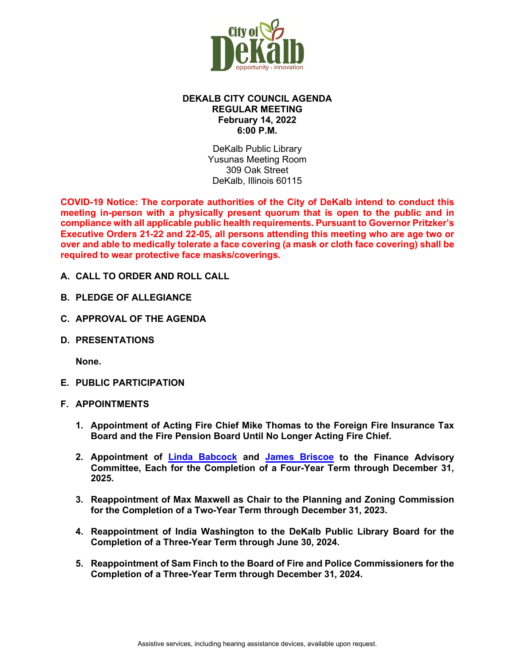

# **DEKALB CITY COUNCIL AGENDA REGULAR MEETING February 14, 2022 6:00 P.M.**

DeKalb Public Library Yusunas Meeting Room 309 Oak Street DeKalb, Illinois 60115

**COVID-19 Notice: The corporate authorities of the City of DeKalb intend to conduct this meeting in-person with a physically present quorum that is open to the public and in compliance with all applicable public health requirements. Pursuant to Governor Pritzker's Executive Orders 21-22 and 22-05, all persons attending this meeting who are age two or over and able to medically tolerate a face covering (a mask or cloth face covering) shall be required to wear protective face masks/coverings.**

- **A. CALL TO ORDER AND ROLL CALL**
- **B. PLEDGE OF ALLEGIANCE**
- **C. APPROVAL OF THE AGENDA**
- **D. PRESENTATIONS**

**None.** 

- **E. PUBLIC PARTICIPATION**
- **F. APPOINTMENTS**
	- **1. Appointment of Acting Fire Chief Mike Thomas to the Foreign Fire Insurance Tax Board and the Fire Pension Board Until No Longer Acting Fire Chief.**
	- **2. Appointment of [Linda Babcock](https://www.cityofdekalb.com/DocumentCenter/View/13553/2-Babcock-Linda---FAC-Appt-021422) and [James Briscoe](https://www.cityofdekalb.com/DocumentCenter/View/13554/3-Briscoe-James---FAC-Appt-021422) to the Finance Advisory Committee, Each for the Completion of a Four-Year Term through December 31, 2025.**
	- **3. Reappointment of Max Maxwell as Chair to the Planning and Zoning Commission for the Completion of a Two-Year Term through December 31, 2023.**
	- **4. Reappointment of India Washington to the DeKalb Public Library Board for the Completion of a Three-Year Term through June 30, 2024.**
	- **5. Reappointment of Sam Finch to the Board of Fire and Police Commissioners for the Completion of a Three-Year Term through December 31, 2024.**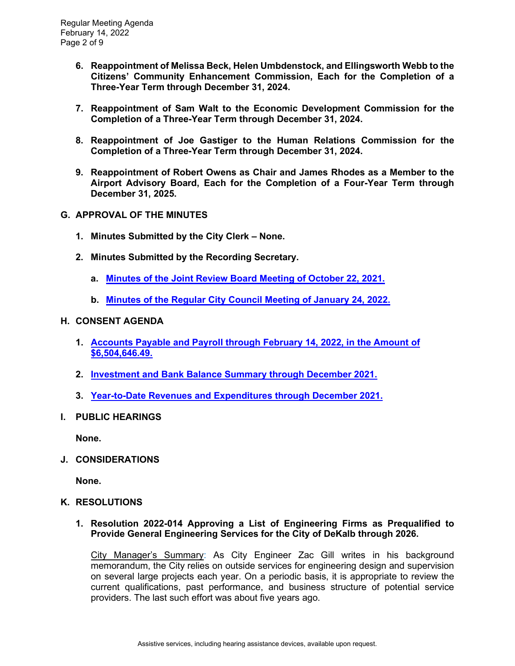- **6. Reappointment of Melissa Beck, Helen Umbdenstock, and Ellingsworth Webb to the Citizens' Community Enhancement Commission, Each for the Completion of a Three-Year Term through December 31, 2024.**
- **7. Reappointment of Sam Walt to the Economic Development Commission for the Completion of a Three-Year Term through December 31, 2024.**
- **8. Reappointment of Joe Gastiger to the Human Relations Commission for the Completion of a Three-Year Term through December 31, 2024.**
- **9. Reappointment of Robert Owens as Chair and James Rhodes as a Member to the Airport Advisory Board, Each for the Completion of a Four-Year Term through December 31, 2025.**
- **G. APPROVAL OF THE MINUTES**
	- **1. Minutes Submitted by the City Clerk – None.**
	- **2. Minutes Submitted by the Recording Secretary.** 
		- **a. [Minutes of the Joint Review Board Meeting of October 22, 2021.](https://www.cityofdekalb.com/DocumentCenter/View/13555/4-102221-JRB-Minutes-FINAL)**
		- **b. [Minutes of the Regular City Council Meeting of January 24, 2022.](https://www.cityofdekalb.com/DocumentCenter/View/13556/5-012422-Regular-Minutes-FINAL)**

#### **H. CONSENT AGENDA**

- **1. [Accounts Payable and Payroll through February 14, 2022, in the Amount of](https://www.cityofdekalb.com/DocumentCenter/View/13557/6-APP-021422) [\\$6,504,646.49.](https://www.cityofdekalb.com/DocumentCenter/View/13557/6-APP-021422)**
- **2. [Investment and Bank Balance Summary through December 2021.](https://www.cityofdekalb.com/DocumentCenter/View/13558/7-IBB-Dec-2021)**
- **3. [Year-to-Date Revenues and Expenditures through December 2021.](https://www.cityofdekalb.com/DocumentCenter/View/13559/8-YTD-Rev-Exp-2021)**
- **I. PUBLIC HEARINGS**

**None.** 

**J. CONSIDERATIONS**

**None.** 

### **K. RESOLUTIONS**

**1. Resolution 2022-014 Approving a List of Engineering Firms as Prequalified to Provide General Engineering Services for the City of DeKalb through 2026.**

City Manager's Summary: As City Engineer Zac Gill writes in his background memorandum, the City relies on outside services for engineering design and supervision on several large projects each year. On a periodic basis, it is appropriate to review the current qualifications, past performance, and business structure of potential service providers. The last such effort was about five years ago.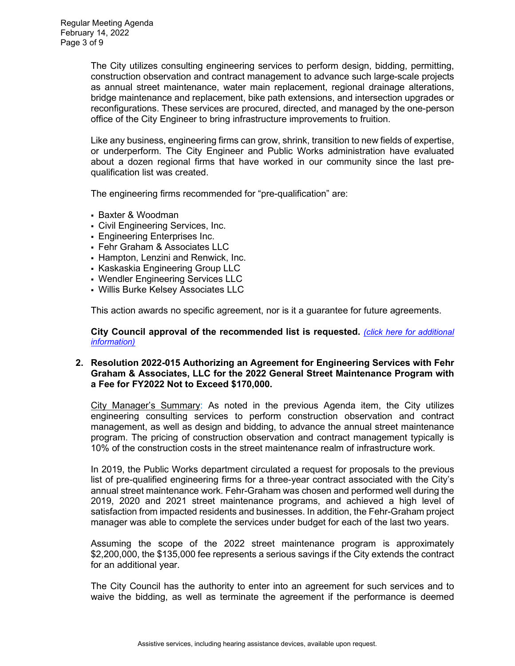The City utilizes consulting engineering services to perform design, bidding, permitting, construction observation and contract management to advance such large-scale projects as annual street maintenance, water main replacement, regional drainage alterations, bridge maintenance and replacement, bike path extensions, and intersection upgrades or reconfigurations. These services are procured, directed, and managed by the one-person office of the City Engineer to bring infrastructure improvements to fruition.

Like any business, engineering firms can grow, shrink, transition to new fields of expertise, or underperform. The City Engineer and Public Works administration have evaluated about a dozen regional firms that have worked in our community since the last prequalification list was created.

The engineering firms recommended for "pre-qualification" are:

- Baxter & Woodman
- Civil Engineering Services, Inc.
- Engineering Enterprises Inc.
- Fehr Graham & Associates LLC
- Hampton, Lenzini and Renwick, Inc.
- **Kaskaskia Engineering Group LLC**
- Wendler Engineering Services LLC
- Willis Burke Kelsey Associates LLC

This action awards no specific agreement, nor is it a guarantee for future agreements.

**City Council approval of the recommended list is requested.** *[\(click here for additional](https://www.cityofdekalb.com/DocumentCenter/View/13560/9-Res-2022-014)  [information\)](https://www.cityofdekalb.com/DocumentCenter/View/13560/9-Res-2022-014)*

#### **2. Resolution 2022-015 Authorizing an Agreement for Engineering Services with Fehr Graham & Associates, LLC for the 2022 General Street Maintenance Program with a Fee for FY2022 Not to Exceed \$170,000.**

City Manager's Summary: As noted in the previous Agenda item, the City utilizes engineering consulting services to perform construction observation and contract management, as well as design and bidding, to advance the annual street maintenance program. The pricing of construction observation and contract management typically is 10% of the construction costs in the street maintenance realm of infrastructure work.

In 2019, the Public Works department circulated a request for proposals to the previous list of pre-qualified engineering firms for a three-year contract associated with the City's annual street maintenance work. Fehr-Graham was chosen and performed well during the 2019, 2020 and 2021 street maintenance programs, and achieved a high level of satisfaction from impacted residents and businesses. In addition, the Fehr-Graham project manager was able to complete the services under budget for each of the last two years.

Assuming the scope of the 2022 street maintenance program is approximately \$2,200,000, the \$135,000 fee represents a serious savings if the City extends the contract for an additional year.

The City Council has the authority to enter into an agreement for such services and to waive the bidding, as well as terminate the agreement if the performance is deemed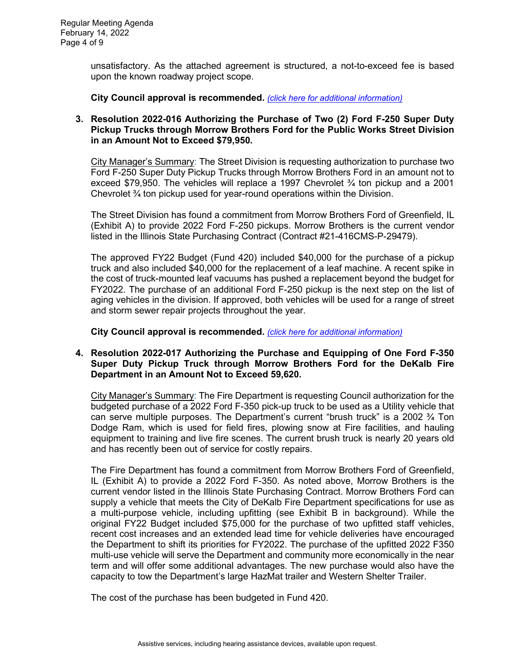unsatisfactory. As the attached agreement is structured, a not-to-exceed fee is based upon the known roadway project scope.

**City Council approval is recommended.** *[\(click here for additional information\)](https://www.cityofdekalb.com/DocumentCenter/View/13561/10-Res-2022-015)*

#### **3. Resolution 2022-016 Authorizing the Purchase of Two (2) Ford F-250 Super Duty Pickup Trucks through Morrow Brothers Ford for the Public Works Street Division in an Amount Not to Exceed \$79,950.**

City Manager's Summary: The Street Division is requesting authorization to purchase two Ford F-250 Super Duty Pickup Trucks through Morrow Brothers Ford in an amount not to exceed \$79,950. The vehicles will replace a 1997 Chevrolet  $\frac{3}{4}$  ton pickup and a 2001 Chevrolet ¾ ton pickup used for year-round operations within the Division.

The Street Division has found a commitment from Morrow Brothers Ford of Greenfield, IL (Exhibit A) to provide 2022 Ford F-250 pickups. Morrow Brothers is the current vendor listed in the Illinois State Purchasing Contract (Contract #21-416CMS-P-29479).

The approved FY22 Budget (Fund 420) included \$40,000 for the purchase of a pickup truck and also included \$40,000 for the replacement of a leaf machine. A recent spike in the cost of truck-mounted leaf vacuums has pushed a replacement beyond the budget for FY2022. The purchase of an additional Ford F-250 pickup is the next step on the list of aging vehicles in the division. If approved, both vehicles will be used for a range of street and storm sewer repair projects throughout the year.

**City Council approval is recommended.** *[\(click here for additional information\)](https://www.cityofdekalb.com/DocumentCenter/View/13562/11-Res-2022-016)*

### **4. Resolution 2022-017 Authorizing the Purchase and Equipping of One Ford F-350 Super Duty Pickup Truck through Morrow Brothers Ford for the DeKalb Fire Department in an Amount Not to Exceed 59,620.**

City Manager's Summary: The Fire Department is requesting Council authorization for the budgeted purchase of a 2022 Ford F-350 pick-up truck to be used as a Utility vehicle that can serve multiple purposes. The Department's current "brush truck" is a 2002  $\frac{3}{4}$  Ton Dodge Ram, which is used for field fires, plowing snow at Fire facilities, and hauling equipment to training and live fire scenes. The current brush truck is nearly 20 years old and has recently been out of service for costly repairs.

The Fire Department has found a commitment from Morrow Brothers Ford of Greenfield, IL (Exhibit A) to provide a 2022 Ford F-350. As noted above, Morrow Brothers is the current vendor listed in the Illinois State Purchasing Contract. Morrow Brothers Ford can supply a vehicle that meets the City of DeKalb Fire Department specifications for use as a multi-purpose vehicle, including upfitting (see Exhibit B in background). While the original FY22 Budget included \$75,000 for the purchase of two upfitted staff vehicles, recent cost increases and an extended lead time for vehicle deliveries have encouraged the Department to shift its priorities for FY2022. The purchase of the upfitted 2022 F350 multi-use vehicle will serve the Department and community more economically in the near term and will offer some additional advantages. The new purchase would also have the capacity to tow the Department's large HazMat trailer and Western Shelter Trailer.

The cost of the purchase has been budgeted in Fund 420.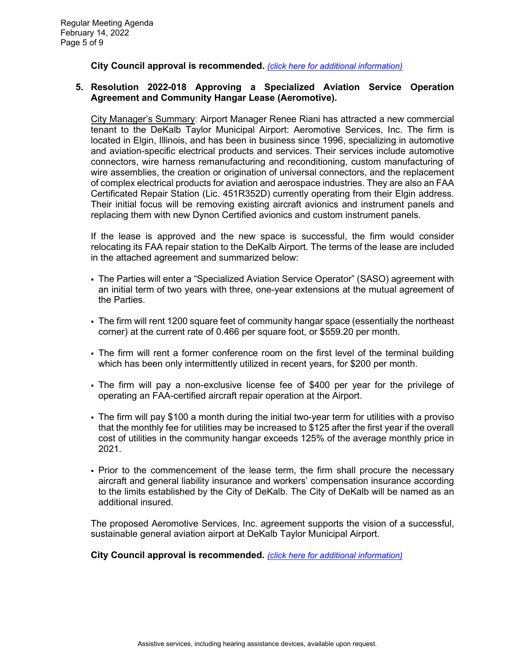**City Council approval is recommended.** *[\(click here for additional information\)](https://www.cityofdekalb.com/DocumentCenter/View/13563/12-Res-2022-017)*

#### **5. Resolution 2022-018 Approving a Specialized Aviation Service Operation Agreement and Community Hangar Lease (Aeromotive).**

City Manager's Summary: Airport Manager Renee Riani has attracted a new commercial tenant to the DeKalb Taylor Municipal Airport: Aeromotive Services, Inc. The firm is located in Elgin, Illinois, and has been in business since 1996, specializing in automotive and aviation-specific electrical products and services. Their services include automotive connectors, wire harness remanufacturing and reconditioning, custom manufacturing of wire assemblies, the creation or origination of universal connectors, and the replacement of complex electrical products for aviation and aerospace industries. They are also an FAA Certificated Repair Station (Lic. 451R352D) currently operating from their Elgin address. Their initial focus will be removing existing aircraft avionics and instrument panels and replacing them with new Dynon Certified avionics and custom instrument panels.

If the lease is approved and the new space is successful, the firm would consider relocating its FAA repair station to the DeKalb Airport. The terms of the lease are included in the attached agreement and summarized below:

- The Parties will enter a "Specialized Aviation Service Operator" (SASO) agreement with an initial term of two years with three, one-year extensions at the mutual agreement of the Parties.
- The firm will rent 1200 square feet of community hangar space (essentially the northeast corner) at the current rate of 0.466 per square foot, or \$559.20 per month.
- The firm will rent a former conference room on the first level of the terminal building which has been only intermittently utilized in recent years, for \$200 per month.
- The firm will pay a non-exclusive license fee of \$400 per year for the privilege of operating an FAA-certified aircraft repair operation at the Airport.
- The firm will pay \$100 a month during the initial two-year term for utilities with a proviso that the monthly fee for utilities may be increased to \$125 after the first year if the overall cost of utilities in the community hangar exceeds 125% of the average monthly price in 2021.
- Prior to the commencement of the lease term, the firm shall procure the necessary aircraft and general liability insurance and workers' compensation insurance according to the limits established by the City of DeKalb. The City of DeKalb will be named as an additional insured.

The proposed Aeromotive Services, Inc. agreement supports the vision of a successful, sustainable general aviation airport at DeKalb Taylor Municipal Airport.

**City Council approval is recommended.** *[\(click here for additional information\)](https://www.cityofdekalb.com/DocumentCenter/View/13564/13-Res-2022-018)*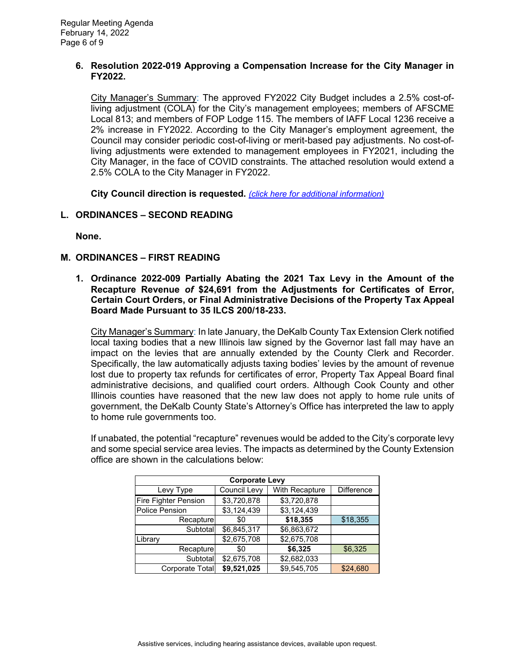#### **6. Resolution 2022-019 Approving a Compensation Increase for the City Manager in FY2022.**

City Manager's Summary: The approved FY2022 City Budget includes a 2.5% cost-ofliving adjustment (COLA) for the City's management employees; members of AFSCME Local 813; and members of FOP Lodge 115. The members of IAFF Local 1236 receive a 2% increase in FY2022. According to the City Manager's employment agreement, the Council may consider periodic cost-of-living or merit-based pay adjustments. No cost-ofliving adjustments were extended to management employees in FY2021, including the City Manager, in the face of COVID constraints. The attached resolution would extend a 2.5% COLA to the City Manager in FY2022.

**City Council direction is requested.** *[\(click here for additional information\)](https://www.cityofdekalb.com/DocumentCenter/View/13565/14-Res-2022-019)*

# **L. ORDINANCES – SECOND READING**

**None.** 

### **M. ORDINANCES – FIRST READING**

**1. Ordinance 2022-009 Partially Abating the 2021 Tax Levy in the Amount of the Recapture Revenue** *of* **\$24,691 from the Adjustments for Certificates of Error, Certain Court Orders, or Final Administrative Decisions of the Property Tax Appeal Board Made Pursuant to 35 ILCS 200/18-233.**

City Manager's Summary: In late January, the DeKalb County Tax Extension Clerk notified local taxing bodies that a new Illinois law signed by the Governor last fall may have an impact on the levies that are annually extended by the County Clerk and Recorder. Specifically, the law automatically adjusts taxing bodies' levies by the amount of revenue lost due to property tax refunds for certificates of error, Property Tax Appeal Board final administrative decisions, and qualified court orders. Although Cook County and other Illinois counties have reasoned that the new law does not apply to home rule units of government, the DeKalb County State's Attorney's Office has interpreted the law to apply to home rule governments too.

If unabated, the potential "recapture" revenues would be added to the City's corporate levy and some special service area levies. The impacts as determined by the County Extension office are shown in the calculations below:

| <b>Corporate Levy</b> |              |                |                   |  |
|-----------------------|--------------|----------------|-------------------|--|
| Levy Type             | Council Levy | With Recapture | <b>Difference</b> |  |
| Fire Fighter Pension  | \$3,720,878  | \$3,720,878    |                   |  |
| <b>Police Pension</b> | \$3,124,439  | \$3,124,439    |                   |  |
| Recapture             | \$0          | \$18,355       | \$18,355          |  |
| Subtotal              | \$6,845,317  | \$6,863,672    |                   |  |
| Library               | \$2,675,708  | \$2,675,708    |                   |  |
| Recapture             | \$0          | \$6,325        | \$6,325           |  |
| Subtotal              | \$2,675,708  | \$2,682,033    |                   |  |
| Corporate Total       | \$9,521,025  | \$9,545,705    | \$24,680          |  |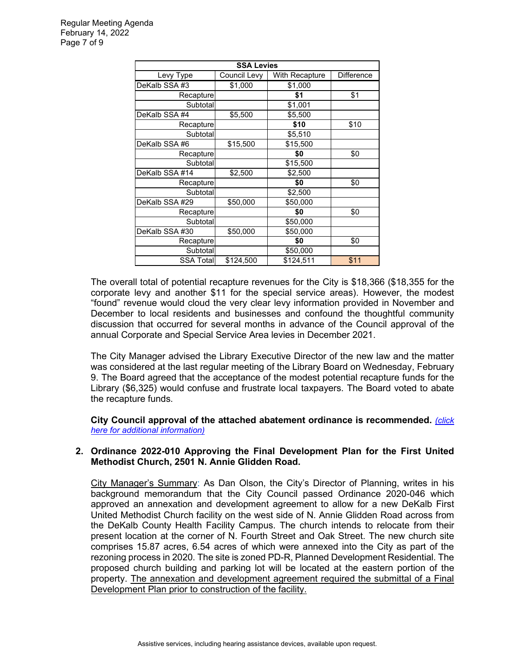| <b>SSA Levies</b> |              |                |                   |  |
|-------------------|--------------|----------------|-------------------|--|
| Levy Type         | Council Levy | With Recapture | <b>Difference</b> |  |
| DeKalb SSA #3     | \$1,000      | \$1,000        |                   |  |
| Recapture         |              | \$1            | \$1               |  |
| Subtotal          |              | \$1,001        |                   |  |
| DeKalb SSA #4     | \$5,500      | \$5,500        |                   |  |
| Recapture         |              | \$10           | \$10              |  |
| Subtotal          |              | \$5,510        |                   |  |
| DeKalb SSA #6     | \$15,500     | \$15,500       |                   |  |
| Recapture         |              | \$0            | \$0               |  |
| Subtotal          |              | \$15,500       |                   |  |
| DeKalb SSA #14    | \$2,500      | \$2,500        |                   |  |
| Recapture         |              | \$0            | \$0               |  |
| Subtotal          |              | \$2,500        |                   |  |
| DeKalb SSA #29    | \$50,000     | \$50,000       |                   |  |
| Recapture         |              | \$0            | \$0               |  |
| Subtotal          |              | \$50,000       |                   |  |
| DeKalb SSA #30    | \$50,000     | \$50,000       |                   |  |
| Recapture         |              | \$0            | \$0               |  |
| Subtotal          |              | \$50,000       |                   |  |
| SSA Total         | \$124,500    | \$124,511      | \$11              |  |

The overall total of potential recapture revenues for the City is \$18,366 (\$18,355 for the corporate levy and another \$11 for the special service areas). However, the modest "found" revenue would cloud the very clear levy information provided in November and December to local residents and businesses and confound the thoughtful community discussion that occurred for several months in advance of the Council approval of the annual Corporate and Special Service Area levies in December 2021.

The City Manager advised the Library Executive Director of the new law and the matter was considered at the last regular meeting of the Library Board on Wednesday, February 9. The Board agreed that the acceptance of the modest potential recapture funds for the Library (\$6,325) would confuse and frustrate local taxpayers. The Board voted to abate the recapture funds.

**City Council approval of the attached abatement ordinance is recommended.** *[\(click](https://www.cityofdekalb.com/DocumentCenter/View/13566/15-Ord-2022-009)  [here for additional information\)](https://www.cityofdekalb.com/DocumentCenter/View/13566/15-Ord-2022-009)*

### **2. Ordinance 2022-010 Approving the Final Development Plan for the First United Methodist Church, 2501 N. Annie Glidden Road.**

City Manager's Summary: As Dan Olson, the City's Director of Planning, writes in his background memorandum that the City Council passed Ordinance 2020-046 which approved an annexation and development agreement to allow for a new DeKalb First United Methodist Church facility on the west side of N. Annie Glidden Road across from the DeKalb County Health Facility Campus. The church intends to relocate from their present location at the corner of N. Fourth Street and Oak Street. The new church site comprises 15.87 acres, 6.54 acres of which were annexed into the City as part of the rezoning process in 2020. The site is zoned PD-R, Planned Development Residential. The proposed church building and parking lot will be located at the eastern portion of the property. The annexation and development agreement required the submittal of a Final Development Plan prior to construction of the facility.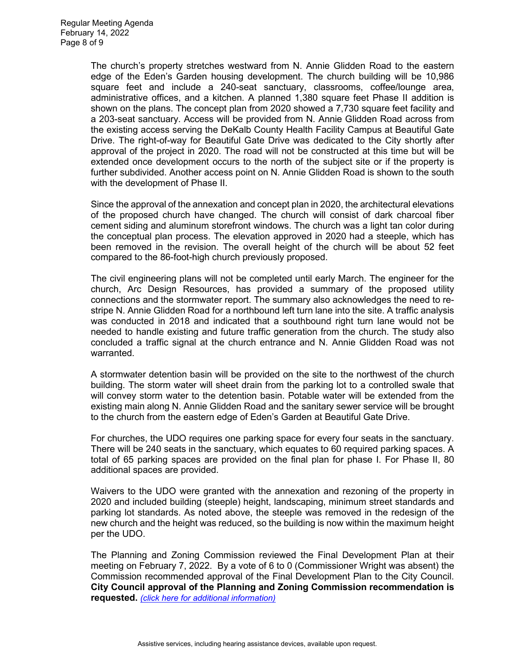The church's property stretches westward from N. Annie Glidden Road to the eastern edge of the Eden's Garden housing development. The church building will be 10,986 square feet and include a 240-seat sanctuary, classrooms, coffee/lounge area, administrative offices, and a kitchen. A planned 1,380 square feet Phase II addition is shown on the plans. The concept plan from 2020 showed a 7,730 square feet facility and a 203-seat sanctuary. Access will be provided from N. Annie Glidden Road across from the existing access serving the DeKalb County Health Facility Campus at Beautiful Gate Drive. The right-of-way for Beautiful Gate Drive was dedicated to the City shortly after approval of the project in 2020. The road will not be constructed at this time but will be extended once development occurs to the north of the subject site or if the property is further subdivided. Another access point on N. Annie Glidden Road is shown to the south with the development of Phase II.

Since the approval of the annexation and concept plan in 2020, the architectural elevations of the proposed church have changed. The church will consist of dark charcoal fiber cement siding and aluminum storefront windows. The church was a light tan color during the conceptual plan process. The elevation approved in 2020 had a steeple, which has been removed in the revision. The overall height of the church will be about 52 feet compared to the 86-foot-high church previously proposed.

The civil engineering plans will not be completed until early March. The engineer for the church, Arc Design Resources, has provided a summary of the proposed utility connections and the stormwater report. The summary also acknowledges the need to restripe N. Annie Glidden Road for a northbound left turn lane into the site. A traffic analysis was conducted in 2018 and indicated that a southbound right turn lane would not be needed to handle existing and future traffic generation from the church. The study also concluded a traffic signal at the church entrance and N. Annie Glidden Road was not warranted.

A stormwater detention basin will be provided on the site to the northwest of the church building. The storm water will sheet drain from the parking lot to a controlled swale that will convey storm water to the detention basin. Potable water will be extended from the existing main along N. Annie Glidden Road and the sanitary sewer service will be brought to the church from the eastern edge of Eden's Garden at Beautiful Gate Drive.

For churches, the UDO requires one parking space for every four seats in the sanctuary. There will be 240 seats in the sanctuary, which equates to 60 required parking spaces. A total of 65 parking spaces are provided on the final plan for phase I. For Phase II, 80 additional spaces are provided.

Waivers to the UDO were granted with the annexation and rezoning of the property in 2020 and included building (steeple) height, landscaping, minimum street standards and parking lot standards. As noted above, the steeple was removed in the redesign of the new church and the height was reduced, so the building is now within the maximum height per the UDO.

The Planning and Zoning Commission reviewed the Final Development Plan at their meeting on February 7, 2022. By a vote of 6 to 0 (Commissioner Wright was absent) the Commission recommended approval of the Final Development Plan to the City Council. **City Council approval of the Planning and Zoning Commission recommendation is requested.** *[\(click here for additional information\)](https://www.cityofdekalb.com/DocumentCenter/View/13567/16-Ord-2022-010)*